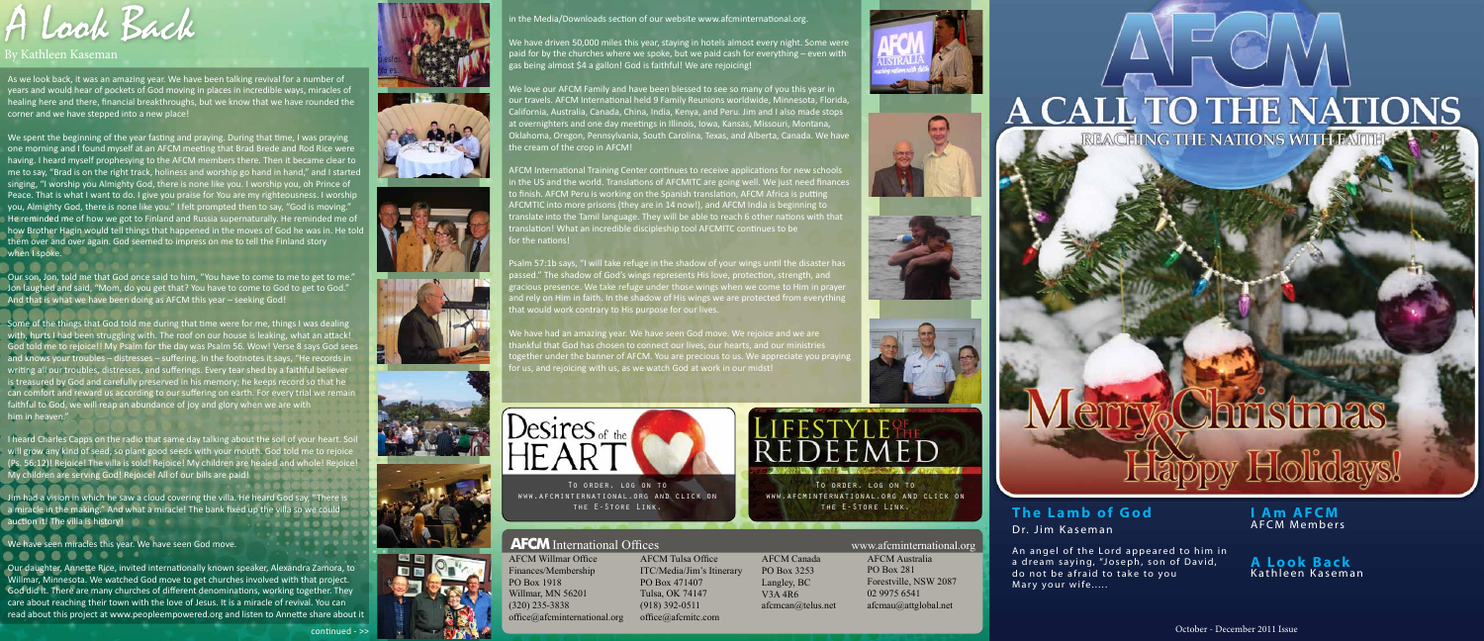October - December 2011 Issue

#### **The Lamb of God** Dr. Jim Kaseman



An angel of the Lord appeared to him in a dream saying, "Joseph, son of David, do not be afraid to take to you Mary your wife.....

**I Am AFCM** AFCM Members

**A Look Back** Kathleen Kaseman

<u>Holiday</u>



www.afcminternational.org and click on the E-Store Link.

#### **AFCM** International Offices www.afcminternational.org

AFCM Willmar Office Finances/Membership PO Box 1918 Willmar, MN 56201  $(320)$  235-3838  $\text{office}(\widehat{a})$  af cminternational.org

AFCM Tulsa Office ITC/Media/Jim's Itinerary PO Box 471407 Tulsa, OK 74147  $(918)$  392-0511 office@afcmitc.com











AFCM Canada PO Box 3253 Langley, BC V3A#4R6 afcmcan@telus.net AFCM Australia PO Box 281 Forestville, NSW 2087 02 9975 6541  $a$ fcmau $\omega$ attglobal.net

# **A CALL TO THE NATIONS**



#### By Kathleen Kaseman

.....

As we look back, it was an amazing year. We have been talking revival for a number of years and would hear of pockets of God moving in places in incredible ways, miracles of healing here and there, financial breakthroughs, but we know that we have rounded the corner and we have stepped into a new place!

We spent the beginning of the year fasting and praying. During that time, I was praying one morning and I found myself at an AFCM meeting that Brad Brede and Rod Rice were having. I heard myself prophesying to the AFCM members there. Then it became clear to me to say, "Brad is on the right track, holiness and worship go hand in hand," and I started singing, "I worship you Almighty God, there is none like you. I worship you, oh Prince of Peace. That is what I want to do. I give you praise for You are my righteousness. I worship you, Almighty God, there is none like you." I felt prompted then to say, "God is moving." He reminded me of how we got to Finland and Russia supernaturally. He reminded me of how Brother Hagin would tell things that happened in the moves of God he was in. He told them over and over again. God seemed to impress on me to tell the Finland story when I spoke.

Our son, Jon, told me that God once said to him, "You have to come to me to get to me." Jon laughed and said, "Mom, do you get that? You have to come to God to get to God." And that is what we have been doing as AFCM this year - seeking God!

Some of the things that God told me during that time were for me, things I was dealing with, hurts I had been struggling with. The roof on our house is leaking, what an attack! God told me to rejoice!! My Psalm for the day was Psalm 56. Wow! Verse 8 says God sees and knows your troubles - distresses - suffering. In the footnotes it says, "He records in writing all our troubles, distresses, and sufferings. Every tear shed by a faithful believer is treasured by God and carefully preserved in his memory; he keeps record so that he can comfort and reward us according to our suffering on earth. For every trial we remain faithful to God, we will reap an abundance of joy and glory when we are with him in heaven."

*I* heard Charles Capps on the radio that same day talking about the soil of your heart. Soi will grow any kind of seed, so plant good seeds with your mouth. God told me to rejoice (Ps. 56:12)! Rejoice! The villa is sold! Rejoice! My children are healed and whole! Rejoice! My children are serving God! Rejoice! All of our bills are paid!

m had a vision in which he saw a cloud covering the villa. He heard God say, "There is a miracle in the making." And what a miracle! The bank fixed up the villa so we could auction it! The villa is history!

e have seen miracles this year. We have seen God move.

Our daughter, Annette Rice, invited internationally known speaker, Alexandra Zamora, to Willmar, Minnesota. We watched God move to get churches involved with that project. God did it. There are many churches of different denominations, working together. They care about reaching their town with the love of Jesus. It is a miracle of revival. You can read about this project at www.peopleempowered.org and listen to Annette share about it

continued - >





n the Media/Downloads section of our website www.afcminternational.org.

Ve have driven 50,000 miles this year, staying in hotels almost every night. Some were aid for by the churches where we spoke, but we paid cash for everything – even with gas being almost \$4 a gallon! God is faithful! We are rejoicing!

We love our AFCM Family and have been blessed to see so many of you this year in our travels. AFCM International held 9 Family Reunions worldwide, Minnesota, Florida, California, Australia, Canada, China, India, Kenya, and Peru. Jim and I also made stops at overnighters and one day meetings in Illinois, Iowa, Kansas, Missouri, Montana, Oklahoma, Oregon, Pennsylvania, South Carolina, Texas, and Alberta, Canada. We have he cream of the crop in AFCM!

AFCM International Training Center continues to receive applications for new schools n the US and the world. Translations of AFCMITC are going well. We just need finance to finish. AFCM Peru is working on the Spanish translation, AFCM Africa is putting AFCMTIC into more prisons (they are in 14 now!), and AFCM India is beginning to translate into the Tamil language. They will be able to reach 6 other nations with that translation! What an incredible discipleship tool AFCMITC continues to be or the nations!

salm 57:1b says, "I will take refuge in the shadow of your wings until the disaster has oassed." The shadow of God's wings represents His love, protection, strength, and gracious presence. We take refuge under those wings when we come to Him in prayer and rely on Him in faith. In the shadow of His wings we are protected from everything hat would work contrary to His purpose for our lives.

Ve have had an amazing year. We have seen God move. We rejoice and we are ankful that God has chosen to connect our lives, our hearts, and our ministries ogether under the banner of AFCM. You are precious to us. We appreciate you praying for us, and rejoicing with us, as we watch God at work in our midst!